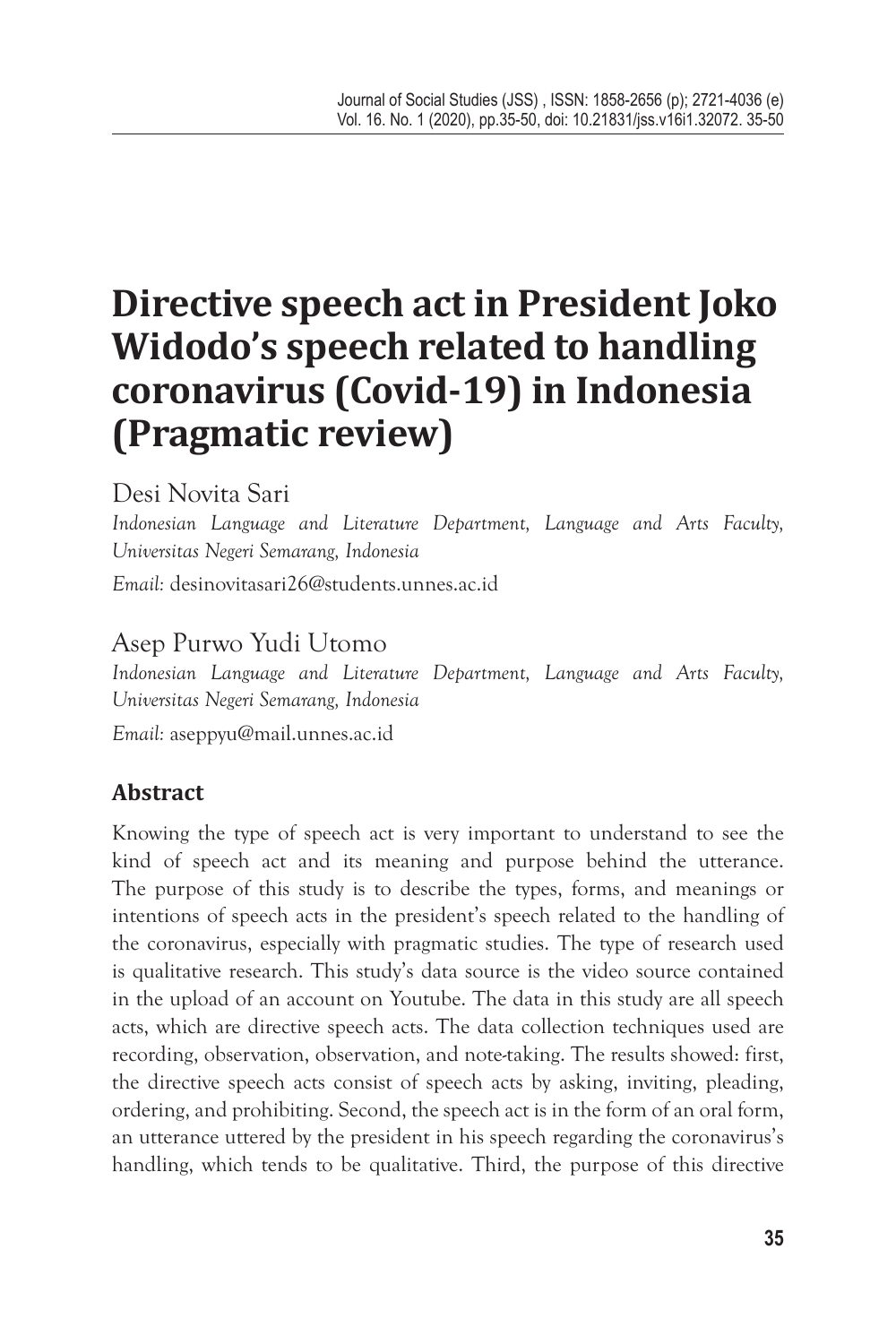# **Directive speech act in President Joko Widodo's speech related to handling coronavirus (Covid-19) in Indonesia (Pragmatic review)**

Desi Novita Sari

*Indonesian Language and Literature Department, Language and Arts Faculty, Universitas Negeri Semarang, Indonesia*

*Email:* desinovitasari26@students.unnes.ac.id

# Asep Purwo Yudi Utomo

*Indonesian Language and Literature Department, Language and Arts Faculty, Universitas Negeri Semarang, Indonesia Email:* aseppyu@mail.unnes.ac.id

# **Abstract**

Knowing the type of speech act is very important to understand to see the kind of speech act and its meaning and purpose behind the utterance. The purpose of this study is to describe the types, forms, and meanings or intentions of speech acts in the president's speech related to the handling of the coronavirus, especially with pragmatic studies. The type of research used is qualitative research. This study's data source is the video source contained in the upload of an account on Youtube. The data in this study are all speech acts, which are directive speech acts. The data collection techniques used are recording, observation, observation, and note-taking. The results showed: first, the directive speech acts consist of speech acts by asking, inviting, pleading, ordering, and prohibiting. Second, the speech act is in the form of an oral form, an utterance uttered by the president in his speech regarding the coronavirus's handling, which tends to be qualitative. Third, the purpose of this directive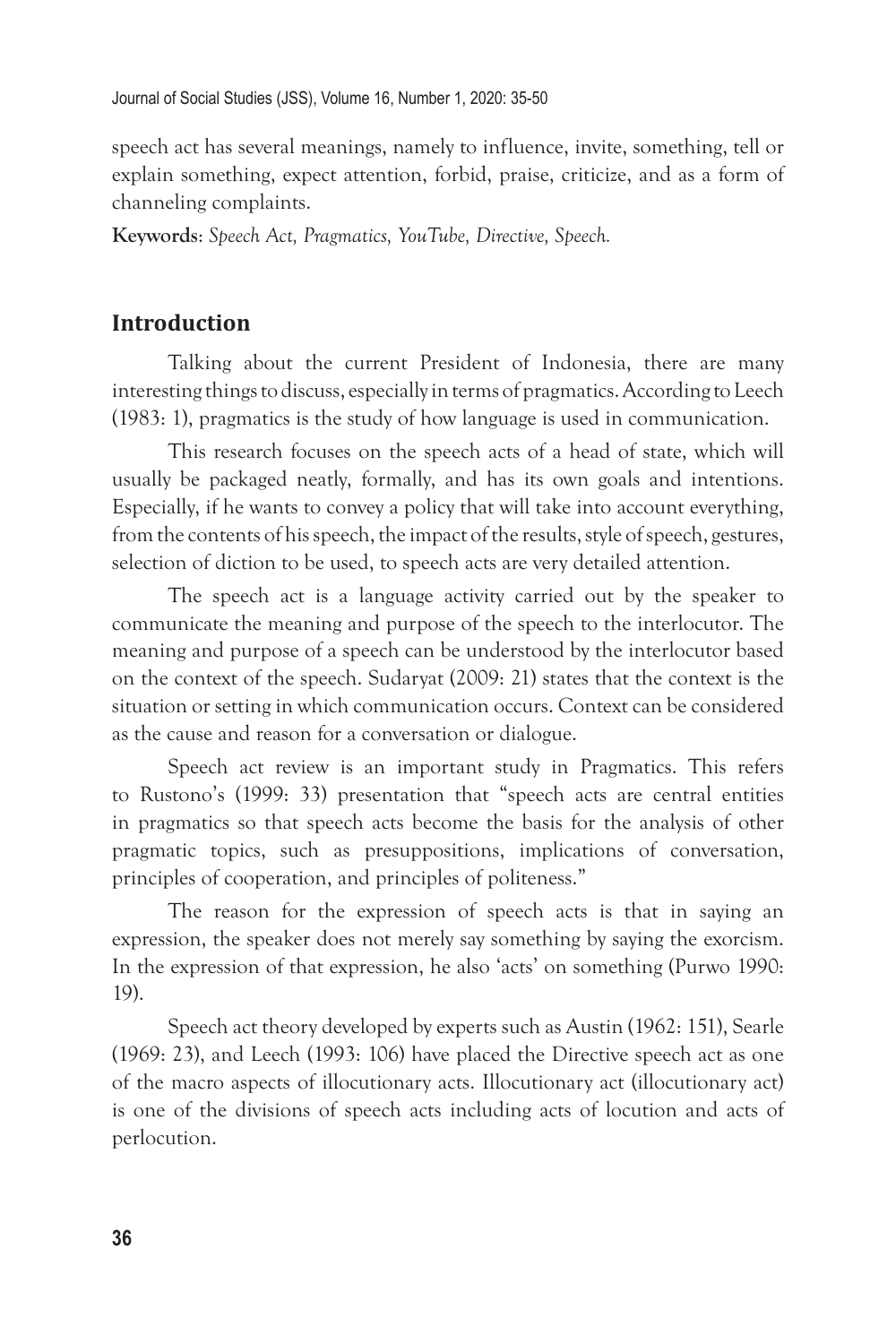speech act has several meanings, namely to influence, invite, something, tell or explain something, expect attention, forbid, praise, criticize, and as a form of channeling complaints.

**Keywords**: *Speech Act, Pragmatics, YouTube, Directive, Speech.*

## **Introduction**

Talking about the current President of Indonesia, there are many interesting things to discuss, especially in terms of pragmatics. According to Leech (1983: 1), pragmatics is the study of how language is used in communication.

This research focuses on the speech acts of a head of state, which will usually be packaged neatly, formally, and has its own goals and intentions. Especially, if he wants to convey a policy that will take into account everything, from the contents of his speech, the impact of the results, style of speech, gestures, selection of diction to be used, to speech acts are very detailed attention.

The speech act is a language activity carried out by the speaker to communicate the meaning and purpose of the speech to the interlocutor. The meaning and purpose of a speech can be understood by the interlocutor based on the context of the speech. Sudaryat (2009: 21) states that the context is the situation or setting in which communication occurs. Context can be considered as the cause and reason for a conversation or dialogue.

Speech act review is an important study in Pragmatics. This refers to Rustono's (1999: 33) presentation that "speech acts are central entities in pragmatics so that speech acts become the basis for the analysis of other pragmatic topics, such as presuppositions, implications of conversation, principles of cooperation, and principles of politeness."

The reason for the expression of speech acts is that in saying an expression, the speaker does not merely say something by saying the exorcism. In the expression of that expression, he also 'acts' on something (Purwo 1990: 19).

Speech act theory developed by experts such as Austin (1962: 151), Searle (1969: 23), and Leech (1993: 106) have placed the Directive speech act as one of the macro aspects of illocutionary acts. Illocutionary act (illocutionary act) is one of the divisions of speech acts including acts of locution and acts of perlocution.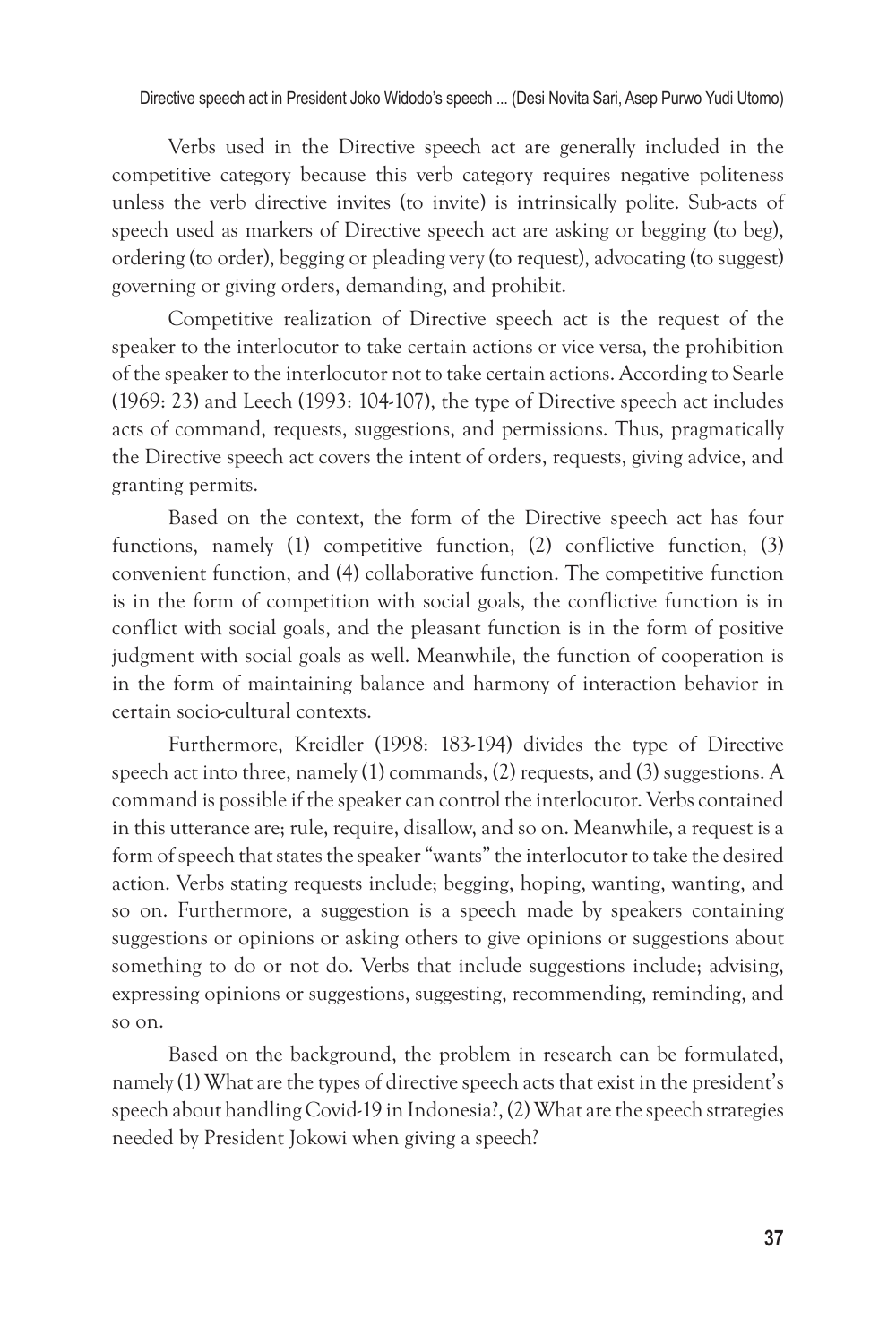Verbs used in the Directive speech act are generally included in the competitive category because this verb category requires negative politeness unless the verb directive invites (to invite) is intrinsically polite. Sub-acts of speech used as markers of Directive speech act are asking or begging (to beg), ordering (to order), begging or pleading very (to request), advocating (to suggest) governing or giving orders, demanding, and prohibit.

Competitive realization of Directive speech act is the request of the speaker to the interlocutor to take certain actions or vice versa, the prohibition of the speaker to the interlocutor not to take certain actions. According to Searle (1969: 23) and Leech (1993: 104-107), the type of Directive speech act includes acts of command, requests, suggestions, and permissions. Thus, pragmatically the Directive speech act covers the intent of orders, requests, giving advice, and granting permits.

Based on the context, the form of the Directive speech act has four functions, namely (1) competitive function, (2) conflictive function, (3) convenient function, and (4) collaborative function. The competitive function is in the form of competition with social goals, the conflictive function is in conflict with social goals, and the pleasant function is in the form of positive judgment with social goals as well. Meanwhile, the function of cooperation is in the form of maintaining balance and harmony of interaction behavior in certain socio-cultural contexts.

Furthermore, Kreidler (1998: 183-194) divides the type of Directive speech act into three, namely (1) commands, (2) requests, and (3) suggestions. A command is possible if the speaker can control the interlocutor. Verbs contained in this utterance are; rule, require, disallow, and so on. Meanwhile, a request is a form of speech that states the speaker "wants" the interlocutor to take the desired action. Verbs stating requests include; begging, hoping, wanting, wanting, and so on. Furthermore, a suggestion is a speech made by speakers containing suggestions or opinions or asking others to give opinions or suggestions about something to do or not do. Verbs that include suggestions include; advising, expressing opinions or suggestions, suggesting, recommending, reminding, and so on.

Based on the background, the problem in research can be formulated, namely (1) What are the types of directive speech acts that exist in the president's speech about handling Covid-19 in Indonesia?, (2) What are the speech strategies needed by President Jokowi when giving a speech?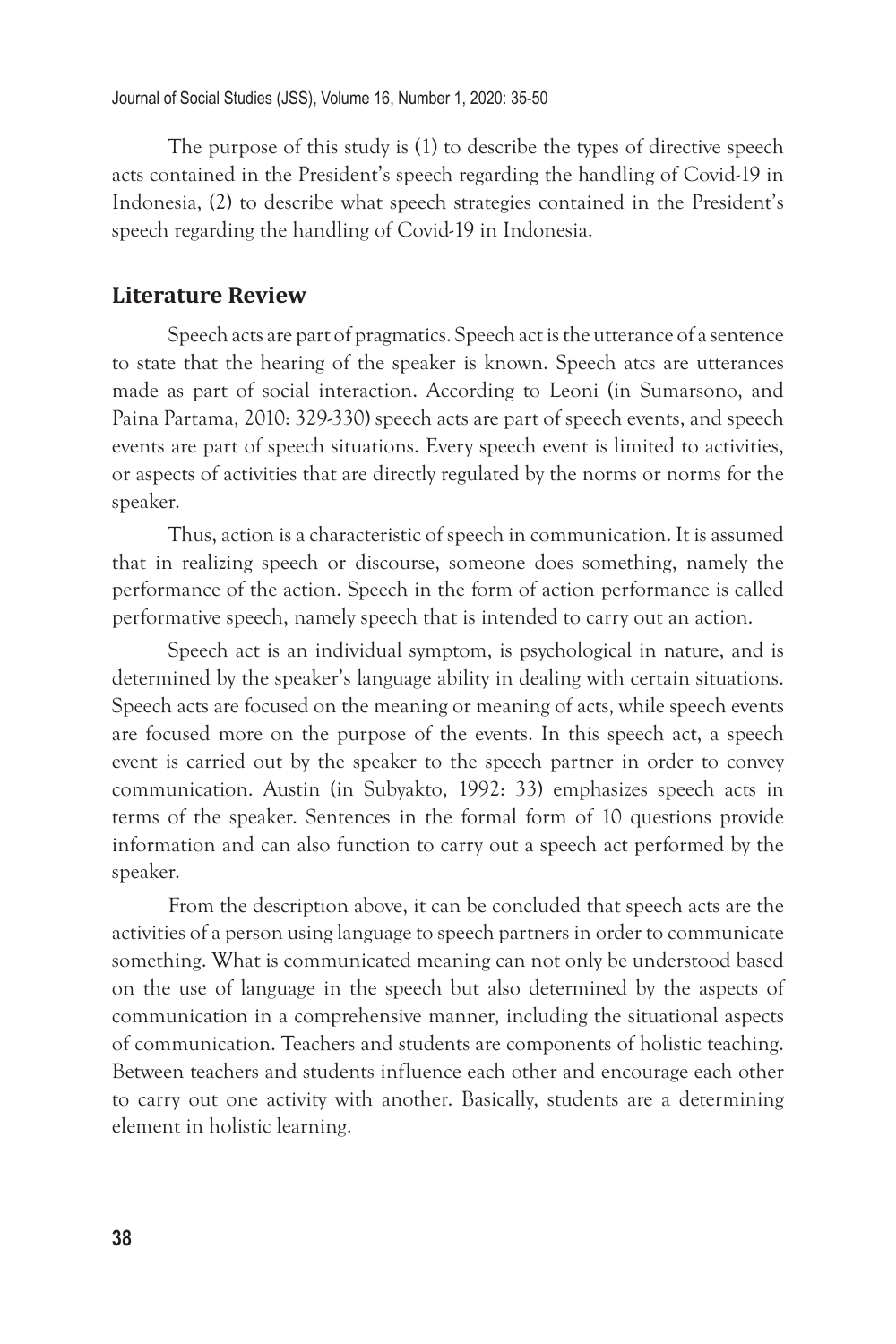The purpose of this study is (1) to describe the types of directive speech acts contained in the President's speech regarding the handling of Covid-19 in Indonesia, (2) to describe what speech strategies contained in the President's speech regarding the handling of Covid-19 in Indonesia.

#### **Literature Review**

Speech acts are part of pragmatics. Speech act is the utterance of a sentence to state that the hearing of the speaker is known. Speech atcs are utterances made as part of social interaction. According to Leoni (in Sumarsono, and Paina Partama, 2010: 329-330) speech acts are part of speech events, and speech events are part of speech situations. Every speech event is limited to activities, or aspects of activities that are directly regulated by the norms or norms for the speaker.

Thus, action is a characteristic of speech in communication. It is assumed that in realizing speech or discourse, someone does something, namely the performance of the action. Speech in the form of action performance is called performative speech, namely speech that is intended to carry out an action.

Speech act is an individual symptom, is psychological in nature, and is determined by the speaker's language ability in dealing with certain situations. Speech acts are focused on the meaning or meaning of acts, while speech events are focused more on the purpose of the events. In this speech act, a speech event is carried out by the speaker to the speech partner in order to convey communication. Austin (in Subyakto, 1992: 33) emphasizes speech acts in terms of the speaker. Sentences in the formal form of 10 questions provide information and can also function to carry out a speech act performed by the speaker.

From the description above, it can be concluded that speech acts are the activities of a person using language to speech partners in order to communicate something. What is communicated meaning can not only be understood based on the use of language in the speech but also determined by the aspects of communication in a comprehensive manner, including the situational aspects of communication. Teachers and students are components of holistic teaching. Between teachers and students influence each other and encourage each other to carry out one activity with another. Basically, students are a determining element in holistic learning.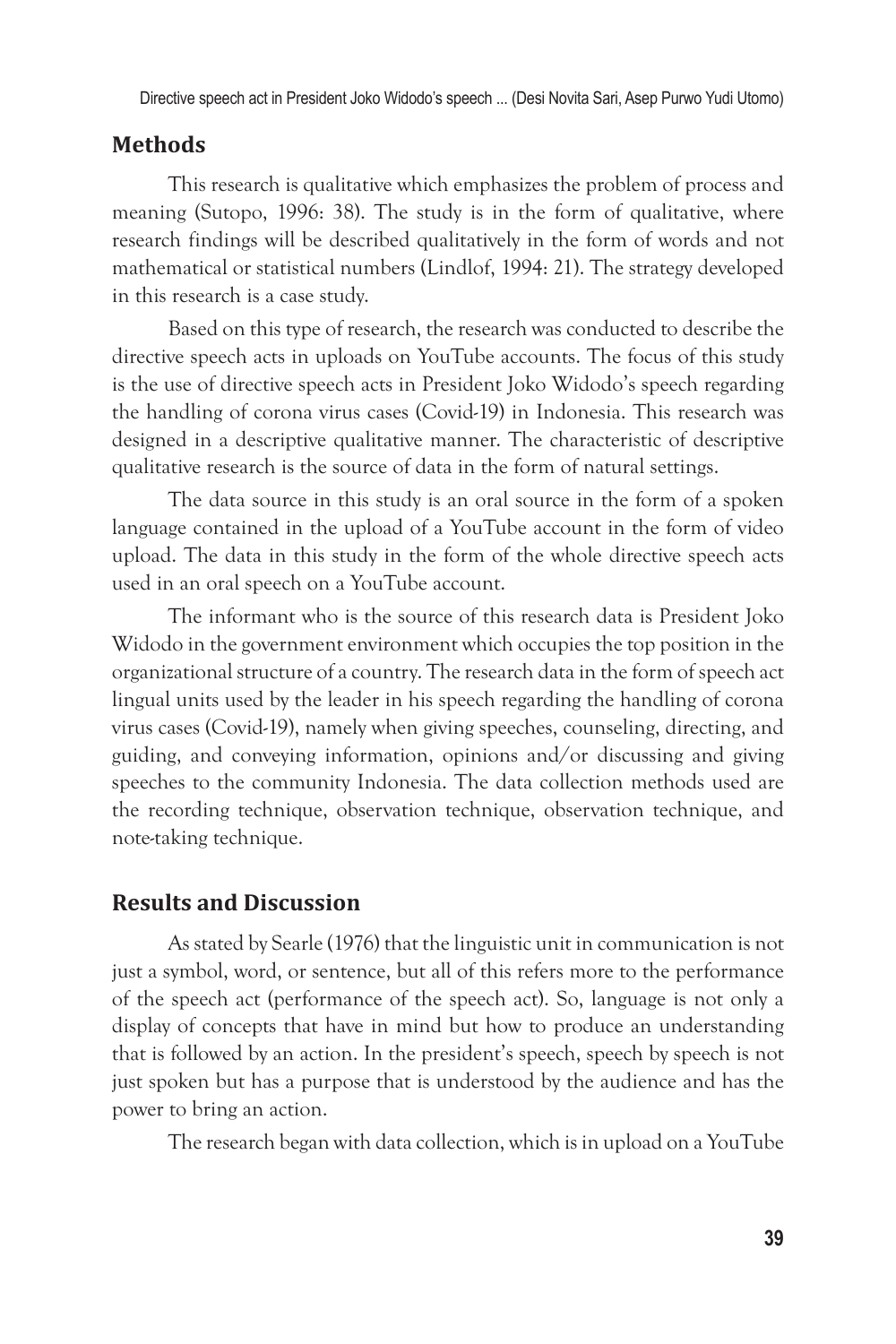Directive speech act in President Joko Widodo's speech ... (Desi Novita Sari, Asep Purwo Yudi Utomo)

### **Methods**

This research is qualitative which emphasizes the problem of process and meaning (Sutopo, 1996: 38). The study is in the form of qualitative, where research findings will be described qualitatively in the form of words and not mathematical or statistical numbers (Lindlof, 1994: 21). The strategy developed in this research is a case study.

Based on this type of research, the research was conducted to describe the directive speech acts in uploads on YouTube accounts. The focus of this study is the use of directive speech acts in President Joko Widodo's speech regarding the handling of corona virus cases (Covid-19) in Indonesia. This research was designed in a descriptive qualitative manner. The characteristic of descriptive qualitative research is the source of data in the form of natural settings.

The data source in this study is an oral source in the form of a spoken language contained in the upload of a YouTube account in the form of video upload. The data in this study in the form of the whole directive speech acts used in an oral speech on a YouTube account.

The informant who is the source of this research data is President Joko Widodo in the government environment which occupies the top position in the organizational structure of a country. The research data in the form of speech act lingual units used by the leader in his speech regarding the handling of corona virus cases (Covid-19), namely when giving speeches, counseling, directing, and guiding, and conveying information, opinions and/or discussing and giving speeches to the community Indonesia. The data collection methods used are the recording technique, observation technique, observation technique, and note-taking technique.

## **Results and Discussion**

As stated by Searle (1976) that the linguistic unit in communication is not just a symbol, word, or sentence, but all of this refers more to the performance of the speech act (performance of the speech act). So, language is not only a display of concepts that have in mind but how to produce an understanding that is followed by an action. In the president's speech, speech by speech is not just spoken but has a purpose that is understood by the audience and has the power to bring an action.

The research began with data collection, which is in upload on a YouTube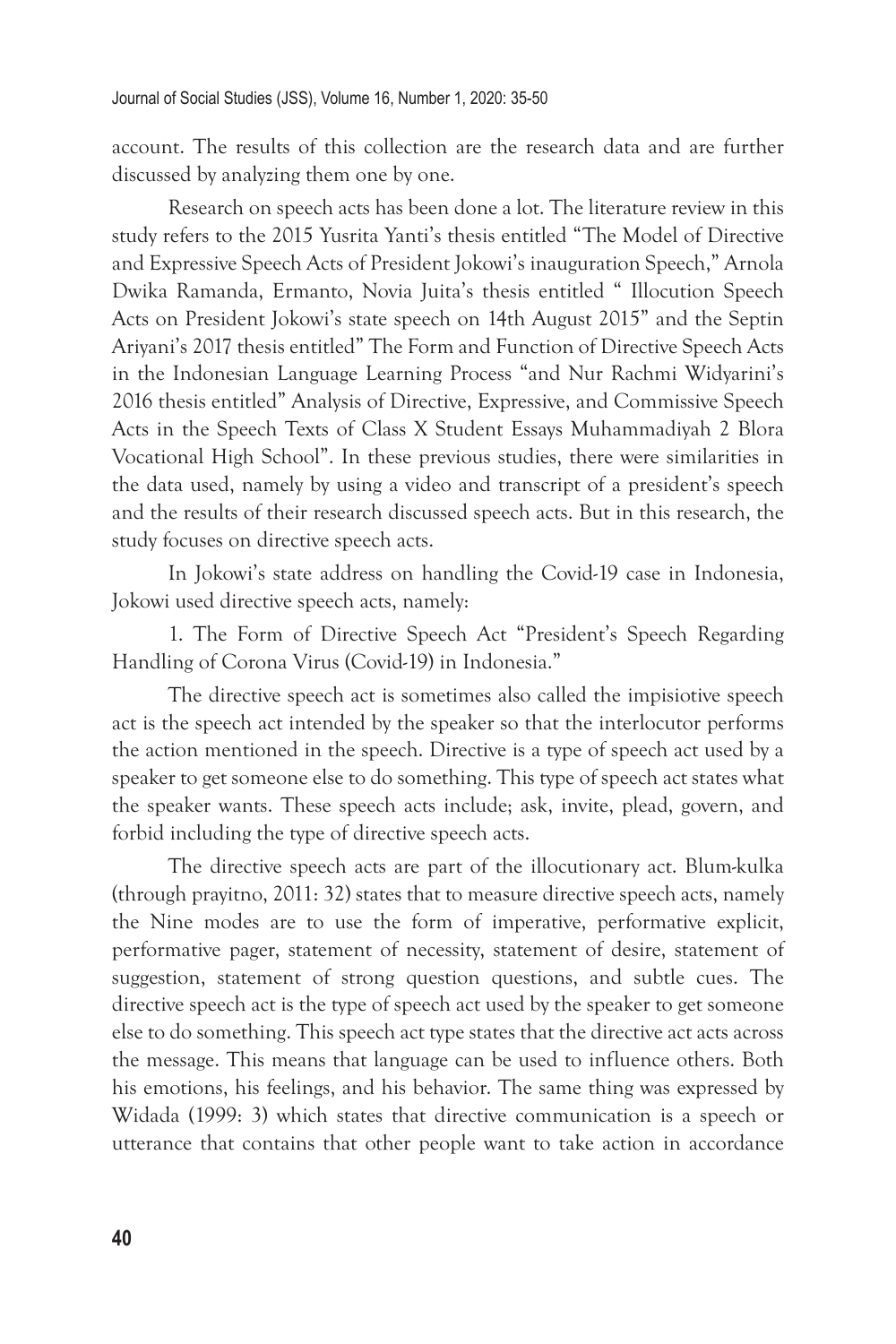account. The results of this collection are the research data and are further discussed by analyzing them one by one.

Research on speech acts has been done a lot. The literature review in this study refers to the 2015 Yusrita Yanti's thesis entitled "The Model of Directive and Expressive Speech Acts of President Jokowi's inauguration Speech," Arnola Dwika Ramanda, Ermanto, Novia Juita's thesis entitled " Illocution Speech Acts on President Jokowi's state speech on 14th August 2015" and the Septin Ariyani's 2017 thesis entitled" The Form and Function of Directive Speech Acts in the Indonesian Language Learning Process "and Nur Rachmi Widyarini's 2016 thesis entitled" Analysis of Directive, Expressive, and Commissive Speech Acts in the Speech Texts of Class X Student Essays Muhammadiyah 2 Blora Vocational High School". In these previous studies, there were similarities in the data used, namely by using a video and transcript of a president's speech and the results of their research discussed speech acts. But in this research, the study focuses on directive speech acts.

In Jokowi's state address on handling the Covid-19 case in Indonesia, Jokowi used directive speech acts, namely:

1. The Form of Directive Speech Act "President's Speech Regarding Handling of Corona Virus (Covid-19) in Indonesia."

The directive speech act is sometimes also called the impisiotive speech act is the speech act intended by the speaker so that the interlocutor performs the action mentioned in the speech. Directive is a type of speech act used by a speaker to get someone else to do something. This type of speech act states what the speaker wants. These speech acts include; ask, invite, plead, govern, and forbid including the type of directive speech acts.

The directive speech acts are part of the illocutionary act. Blum-kulka (through prayitno, 2011: 32) states that to measure directive speech acts, namely the Nine modes are to use the form of imperative, performative explicit, performative pager, statement of necessity, statement of desire, statement of suggestion, statement of strong question questions, and subtle cues. The directive speech act is the type of speech act used by the speaker to get someone else to do something. This speech act type states that the directive act acts across the message. This means that language can be used to influence others. Both his emotions, his feelings, and his behavior. The same thing was expressed by Widada (1999: 3) which states that directive communication is a speech or utterance that contains that other people want to take action in accordance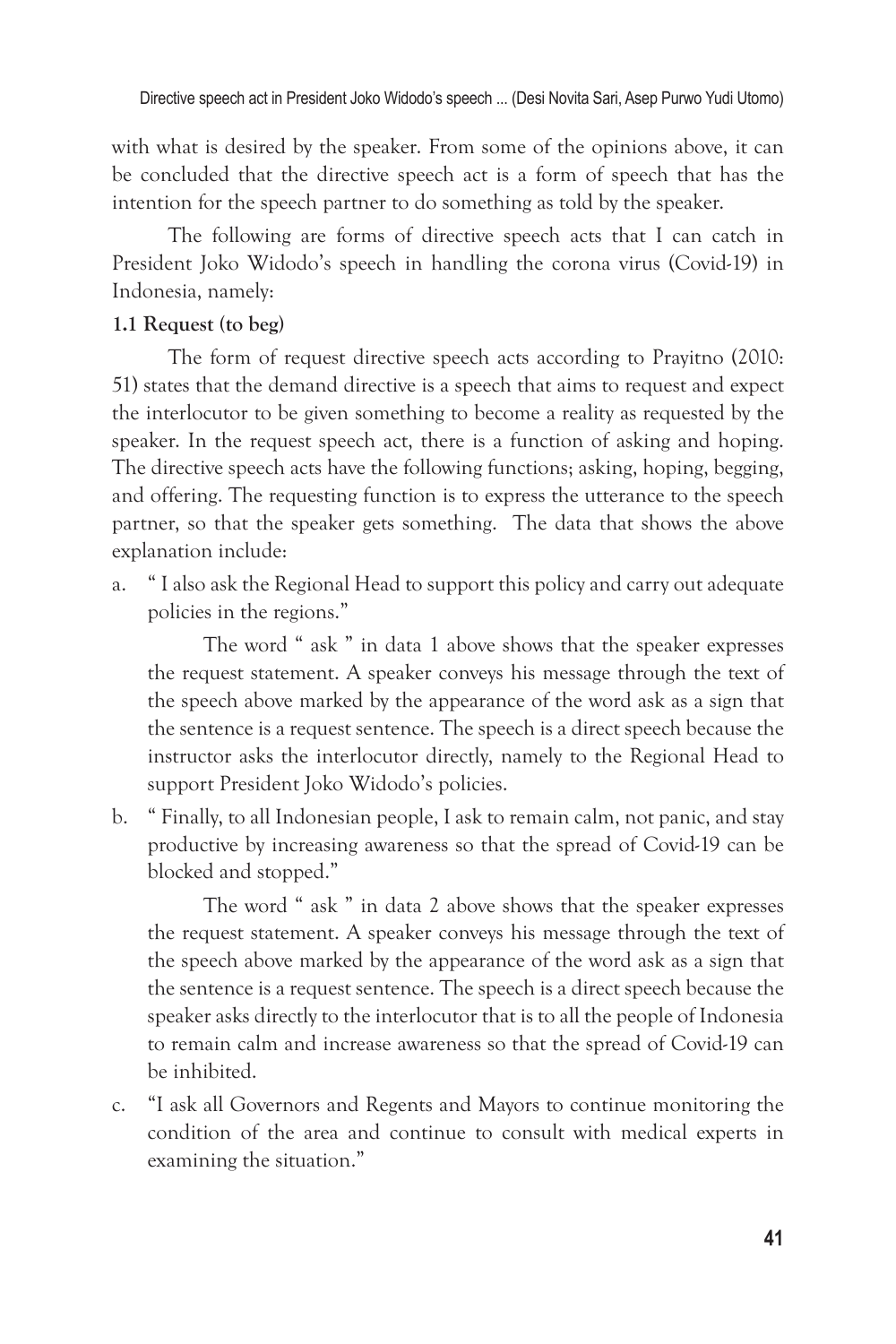with what is desired by the speaker. From some of the opinions above, it can be concluded that the directive speech act is a form of speech that has the intention for the speech partner to do something as told by the speaker.

The following are forms of directive speech acts that I can catch in President Joko Widodo's speech in handling the corona virus (Covid-19) in Indonesia, namely:

#### **1.1 Request (to beg)**

The form of request directive speech acts according to Prayitno (2010: 51) states that the demand directive is a speech that aims to request and expect the interlocutor to be given something to become a reality as requested by the speaker. In the request speech act, there is a function of asking and hoping. The directive speech acts have the following functions; asking, hoping, begging, and offering. The requesting function is to express the utterance to the speech partner, so that the speaker gets something. The data that shows the above explanation include:

a. " I also ask the Regional Head to support this policy and carry out adequate policies in the regions."

The word " ask " in data 1 above shows that the speaker expresses the request statement. A speaker conveys his message through the text of the speech above marked by the appearance of the word ask as a sign that the sentence is a request sentence. The speech is a direct speech because the instructor asks the interlocutor directly, namely to the Regional Head to support President Joko Widodo's policies.

b. " Finally, to all Indonesian people, I ask to remain calm, not panic, and stay productive by increasing awareness so that the spread of Covid-19 can be blocked and stopped."

The word " ask " in data 2 above shows that the speaker expresses the request statement. A speaker conveys his message through the text of the speech above marked by the appearance of the word ask as a sign that the sentence is a request sentence. The speech is a direct speech because the speaker asks directly to the interlocutor that is to all the people of Indonesia to remain calm and increase awareness so that the spread of Covid-19 can be inhibited.

c. "I ask all Governors and Regents and Mayors to continue monitoring the condition of the area and continue to consult with medical experts in examining the situation."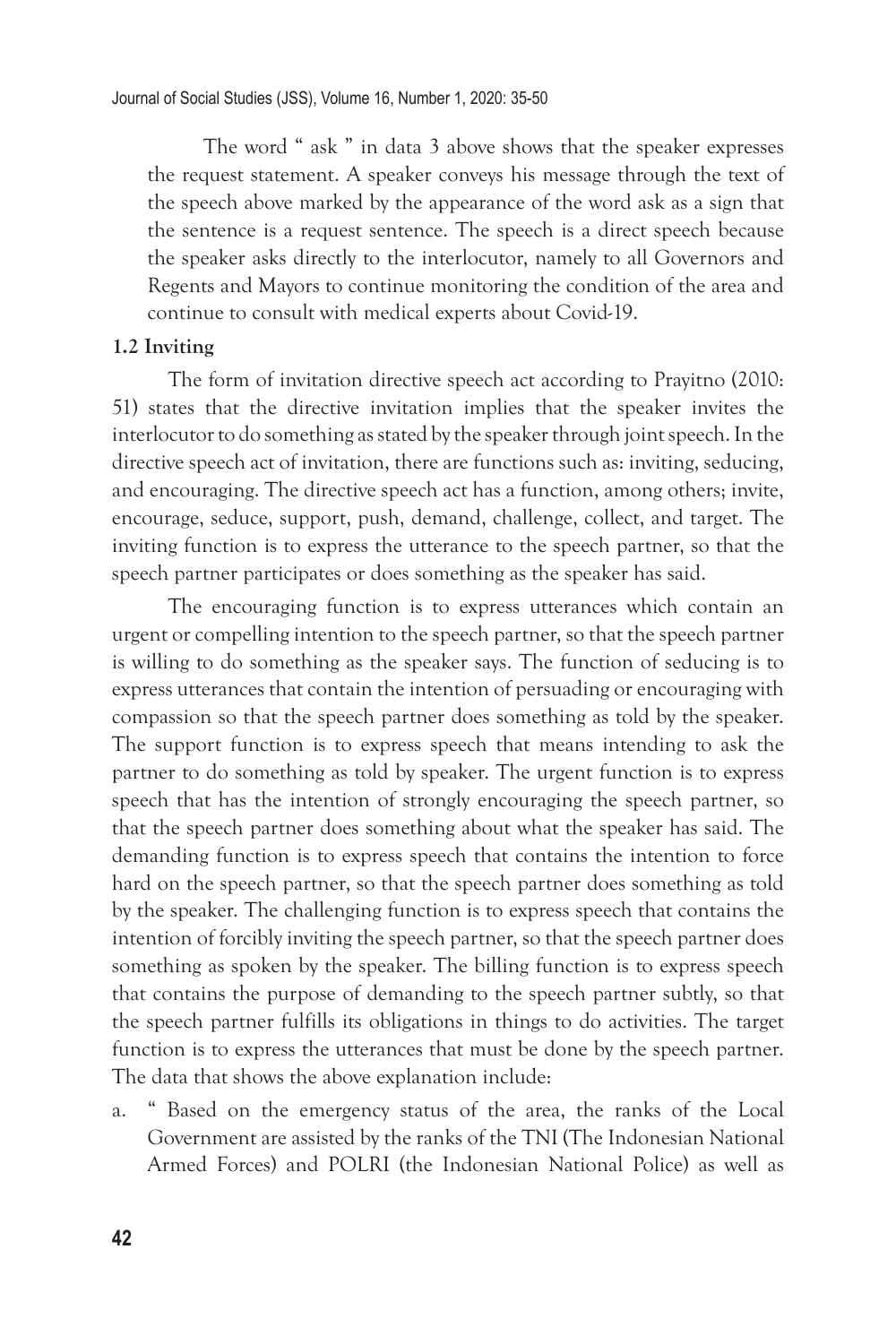The word " ask " in data 3 above shows that the speaker expresses the request statement. A speaker conveys his message through the text of the speech above marked by the appearance of the word ask as a sign that the sentence is a request sentence. The speech is a direct speech because the speaker asks directly to the interlocutor, namely to all Governors and Regents and Mayors to continue monitoring the condition of the area and continue to consult with medical experts about Covid-19.

#### **1.2 Inviting**

The form of invitation directive speech act according to Prayitno (2010: 51) states that the directive invitation implies that the speaker invites the interlocutor to do something as stated by the speaker through joint speech. In the directive speech act of invitation, there are functions such as: inviting, seducing, and encouraging. The directive speech act has a function, among others; invite, encourage, seduce, support, push, demand, challenge, collect, and target. The inviting function is to express the utterance to the speech partner, so that the speech partner participates or does something as the speaker has said.

The encouraging function is to express utterances which contain an urgent or compelling intention to the speech partner, so that the speech partner is willing to do something as the speaker says. The function of seducing is to express utterances that contain the intention of persuading or encouraging with compassion so that the speech partner does something as told by the speaker. The support function is to express speech that means intending to ask the partner to do something as told by speaker. The urgent function is to express speech that has the intention of strongly encouraging the speech partner, so that the speech partner does something about what the speaker has said. The demanding function is to express speech that contains the intention to force hard on the speech partner, so that the speech partner does something as told by the speaker. The challenging function is to express speech that contains the intention of forcibly inviting the speech partner, so that the speech partner does something as spoken by the speaker. The billing function is to express speech that contains the purpose of demanding to the speech partner subtly, so that the speech partner fulfills its obligations in things to do activities. The target function is to express the utterances that must be done by the speech partner. The data that shows the above explanation include:

a. " Based on the emergency status of the area, the ranks of the Local Government are assisted by the ranks of the TNI (The Indonesian National Armed Forces) and POLRI (the Indonesian National Police) as well as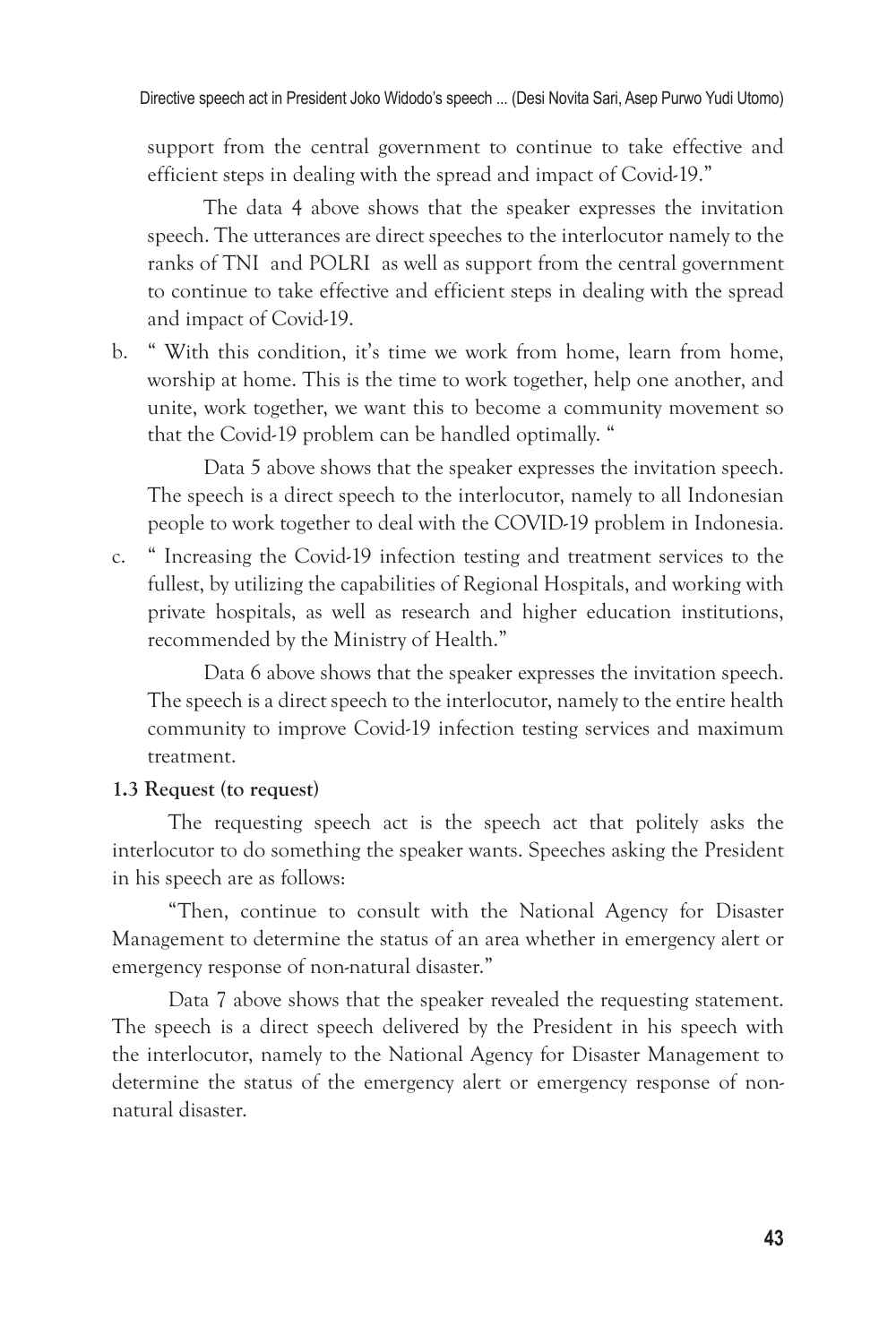support from the central government to continue to take effective and efficient steps in dealing with the spread and impact of Covid-19."

The data 4 above shows that the speaker expresses the invitation speech. The utterances are direct speeches to the interlocutor namely to the ranks of TNI and POLRI as well as support from the central government to continue to take effective and efficient steps in dealing with the spread and impact of Covid-19.

b. " With this condition, it's time we work from home, learn from home, worship at home. This is the time to work together, help one another, and unite, work together, we want this to become a community movement so that the Covid-19 problem can be handled optimally. "

Data 5 above shows that the speaker expresses the invitation speech. The speech is a direct speech to the interlocutor, namely to all Indonesian people to work together to deal with the COVID-19 problem in Indonesia.

c. " Increasing the Covid-19 infection testing and treatment services to the fullest, by utilizing the capabilities of Regional Hospitals, and working with private hospitals, as well as research and higher education institutions, recommended by the Ministry of Health."

Data 6 above shows that the speaker expresses the invitation speech. The speech is a direct speech to the interlocutor, namely to the entire health community to improve Covid-19 infection testing services and maximum treatment.

#### **1.3 Request (to request)**

The requesting speech act is the speech act that politely asks the interlocutor to do something the speaker wants. Speeches asking the President in his speech are as follows:

"Then, continue to consult with the National Agency for Disaster Management to determine the status of an area whether in emergency alert or emergency response of non-natural disaster."

Data 7 above shows that the speaker revealed the requesting statement. The speech is a direct speech delivered by the President in his speech with the interlocutor, namely to the National Agency for Disaster Management to determine the status of the emergency alert or emergency response of nonnatural disaster.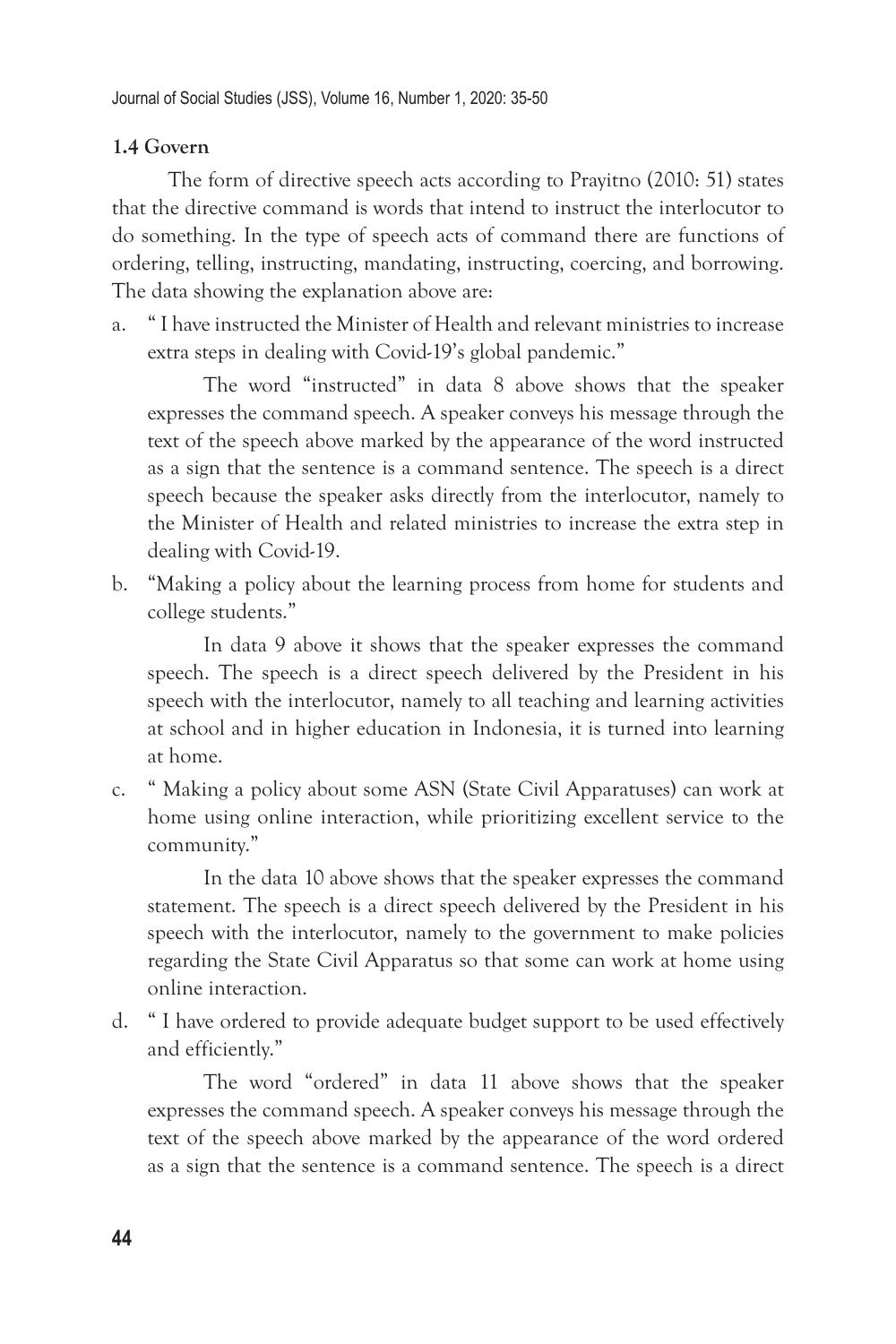#### **1.4 Govern**

The form of directive speech acts according to Prayitno (2010: 51) states that the directive command is words that intend to instruct the interlocutor to do something. In the type of speech acts of command there are functions of ordering, telling, instructing, mandating, instructing, coercing, and borrowing. The data showing the explanation above are:

a. " I have instructed the Minister of Health and relevant ministries to increase extra steps in dealing with Covid-19's global pandemic."

The word "instructed" in data 8 above shows that the speaker expresses the command speech. A speaker conveys his message through the text of the speech above marked by the appearance of the word instructed as a sign that the sentence is a command sentence. The speech is a direct speech because the speaker asks directly from the interlocutor, namely to the Minister of Health and related ministries to increase the extra step in dealing with Covid-19.

b. "Making a policy about the learning process from home for students and college students."

In data 9 above it shows that the speaker expresses the command speech. The speech is a direct speech delivered by the President in his speech with the interlocutor, namely to all teaching and learning activities at school and in higher education in Indonesia, it is turned into learning at home.

c. " Making a policy about some ASN (State Civil Apparatuses) can work at home using online interaction, while prioritizing excellent service to the community."

In the data 10 above shows that the speaker expresses the command statement. The speech is a direct speech delivered by the President in his speech with the interlocutor, namely to the government to make policies regarding the State Civil Apparatus so that some can work at home using online interaction.

d. " I have ordered to provide adequate budget support to be used effectively and efficiently."

The word "ordered" in data 11 above shows that the speaker expresses the command speech. A speaker conveys his message through the text of the speech above marked by the appearance of the word ordered as a sign that the sentence is a command sentence. The speech is a direct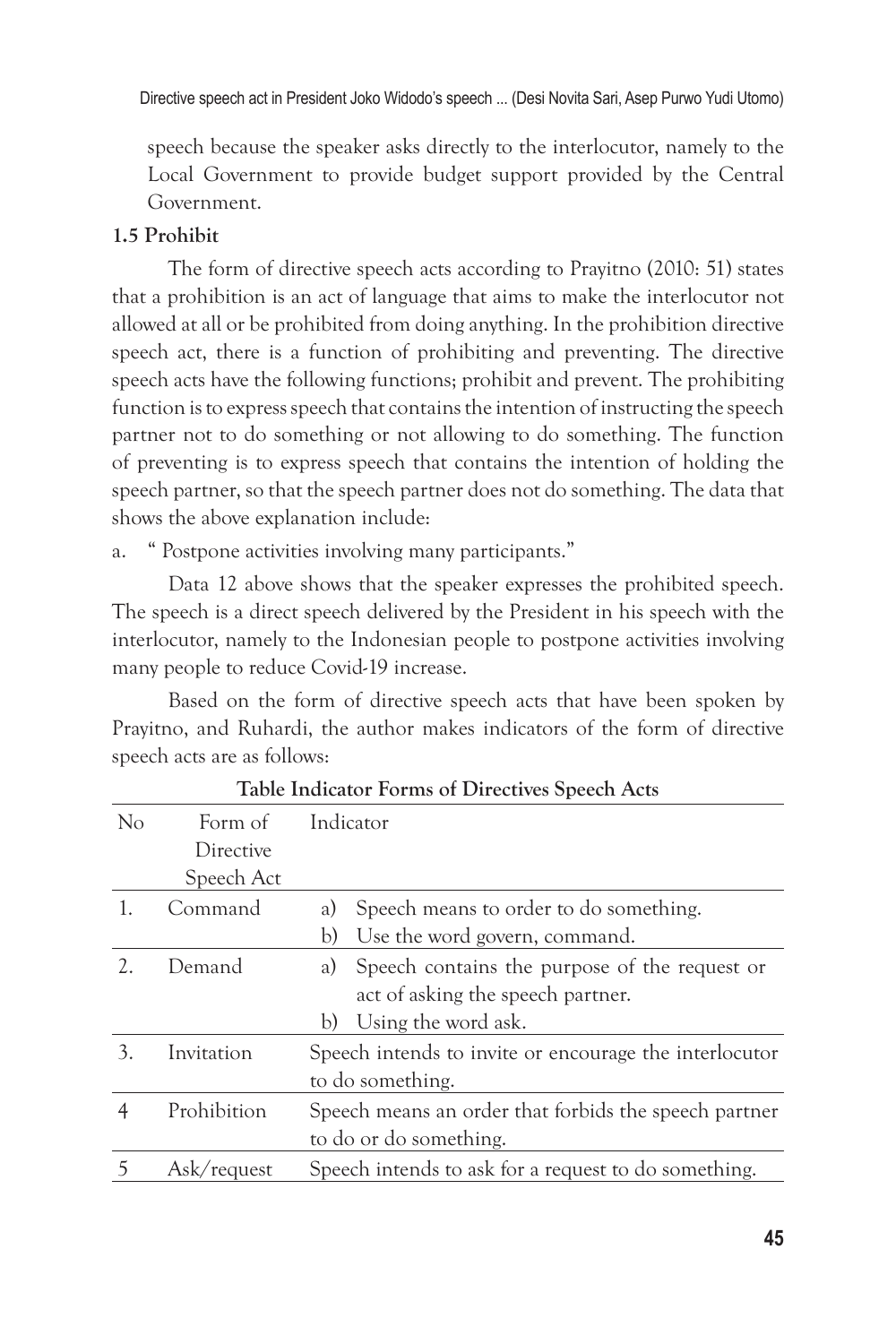speech because the speaker asks directly to the interlocutor, namely to the Local Government to provide budget support provided by the Central Government.

#### **1.5 Prohibit**

The form of directive speech acts according to Prayitno (2010: 51) states that a prohibition is an act of language that aims to make the interlocutor not allowed at all or be prohibited from doing anything. In the prohibition directive speech act, there is a function of prohibiting and preventing. The directive speech acts have the following functions; prohibit and prevent. The prohibiting function is to express speech that contains the intention of instructing the speech partner not to do something or not allowing to do something. The function of preventing is to express speech that contains the intention of holding the speech partner, so that the speech partner does not do something. The data that shows the above explanation include:

a. " Postpone activities involving many participants."

Data 12 above shows that the speaker expresses the prohibited speech. The speech is a direct speech delivered by the President in his speech with the interlocutor, namely to the Indonesian people to postpone activities involving many people to reduce Covid-19 increase.

Based on the form of directive speech acts that have been spoken by Prayitno, and Ruhardi, the author makes indicators of the form of directive speech acts are as follows:

| Table Indicator Tornis of Directives opeell Acts |             |                                                        |
|--------------------------------------------------|-------------|--------------------------------------------------------|
| $\rm No$                                         | Form of     | Indicator                                              |
|                                                  | Directive   |                                                        |
|                                                  | Speech Act  |                                                        |
| 1.                                               | Command     | Speech means to order to do something.<br>a)           |
|                                                  |             | Use the word govern, command.<br>b)                    |
|                                                  | Demand      | Speech contains the purpose of the request or<br>a)    |
|                                                  |             | act of asking the speech partner.                      |
|                                                  |             | Using the word ask.<br>b)                              |
| 3.                                               | Invitation  | Speech intends to invite or encourage the interlocutor |
|                                                  |             | to do something.                                       |
| 4                                                | Prohibition | Speech means an order that forbids the speech partner  |
|                                                  |             | to do or do something.                                 |
|                                                  | Ask/request | Speech intends to ask for a request to do something.   |

**Table Indicator Forms of Directives Speech Acts**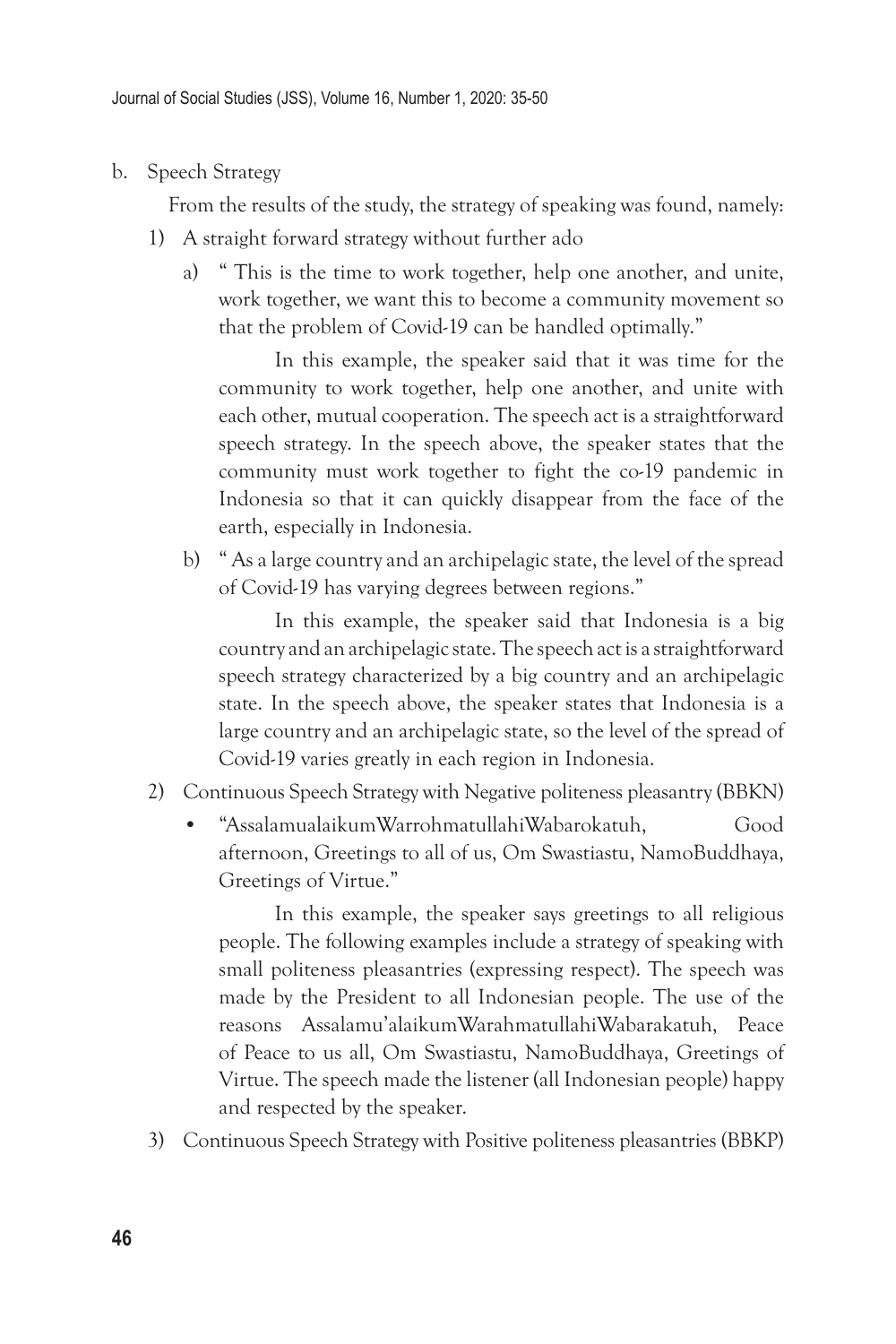b. Speech Strategy

From the results of the study, the strategy of speaking was found, namely:

- 1) A straight forward strategy without further ado
	- a) " This is the time to work together, help one another, and unite, work together, we want this to become a community movement so that the problem of Covid-19 can be handled optimally."

In this example, the speaker said that it was time for the community to work together, help one another, and unite with each other, mutual cooperation. The speech act is a straightforward speech strategy. In the speech above, the speaker states that the community must work together to fight the co-19 pandemic in Indonesia so that it can quickly disappear from the face of the earth, especially in Indonesia.

b) " As a large country and an archipelagic state, the level of the spread of Covid-19 has varying degrees between regions."

In this example, the speaker said that Indonesia is a big country and an archipelagic state. The speech act is a straightforward speech strategy characterized by a big country and an archipelagic state. In the speech above, the speaker states that Indonesia is a large country and an archipelagic state, so the level of the spread of Covid-19 varies greatly in each region in Indonesia.

- 2) Continuous Speech Strategy with Negative politeness pleasantry (BBKN)
	- "AssalamualaikumWarrohmatullahiWabarokatuh, Good afternoon, Greetings to all of us, Om Swastiastu, NamoBuddhaya, Greetings of Virtue."

In this example, the speaker says greetings to all religious people. The following examples include a strategy of speaking with small politeness pleasantries (expressing respect). The speech was made by the President to all Indonesian people. The use of the reasons Assalamu'alaikumWarahmatullahiWabarakatuh, Peace of Peace to us all, Om Swastiastu, NamoBuddhaya, Greetings of Virtue. The speech made the listener (all Indonesian people) happy and respected by the speaker.

3) Continuous Speech Strategy with Positive politeness pleasantries (BBKP)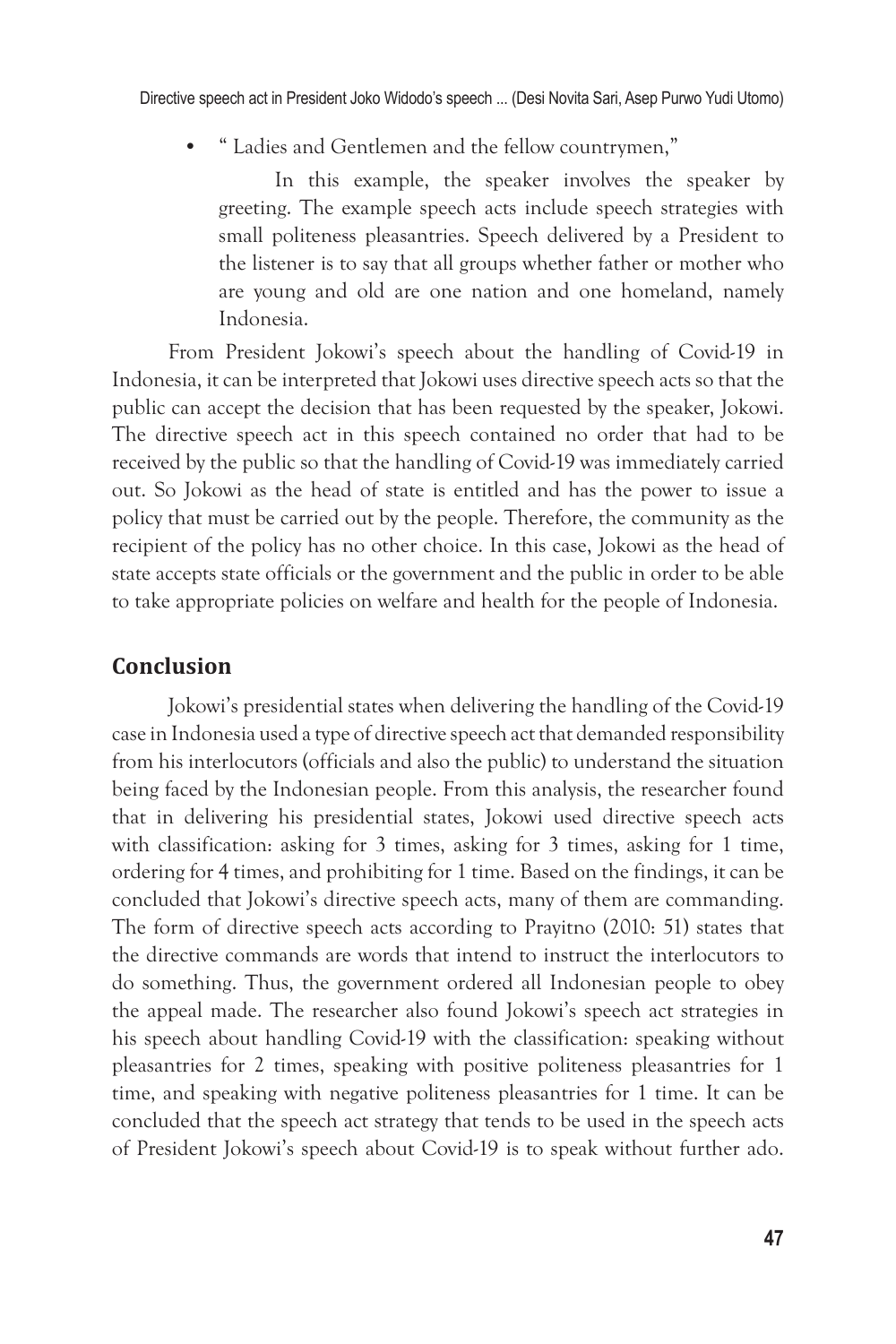• " Ladies and Gentlemen and the fellow countrymen,"

In this example, the speaker involves the speaker by greeting. The example speech acts include speech strategies with small politeness pleasantries. Speech delivered by a President to the listener is to say that all groups whether father or mother who are young and old are one nation and one homeland, namely Indonesia.

From President Jokowi's speech about the handling of Covid-19 in Indonesia, it can be interpreted that Jokowi uses directive speech acts so that the public can accept the decision that has been requested by the speaker, Jokowi. The directive speech act in this speech contained no order that had to be received by the public so that the handling of Covid-19 was immediately carried out. So Jokowi as the head of state is entitled and has the power to issue a policy that must be carried out by the people. Therefore, the community as the recipient of the policy has no other choice. In this case, Jokowi as the head of state accepts state officials or the government and the public in order to be able to take appropriate policies on welfare and health for the people of Indonesia.

#### **Conclusion**

Jokowi's presidential states when delivering the handling of the Covid-19 case in Indonesia used a type of directive speech act that demanded responsibility from his interlocutors (officials and also the public) to understand the situation being faced by the Indonesian people. From this analysis, the researcher found that in delivering his presidential states, Jokowi used directive speech acts with classification: asking for 3 times, asking for 3 times, asking for 1 time, ordering for 4 times, and prohibiting for 1 time. Based on the findings, it can be concluded that Jokowi's directive speech acts, many of them are commanding. The form of directive speech acts according to Prayitno (2010: 51) states that the directive commands are words that intend to instruct the interlocutors to do something. Thus, the government ordered all Indonesian people to obey the appeal made. The researcher also found Jokowi's speech act strategies in his speech about handling Covid-19 with the classification: speaking without pleasantries for 2 times, speaking with positive politeness pleasantries for 1 time, and speaking with negative politeness pleasantries for 1 time. It can be concluded that the speech act strategy that tends to be used in the speech acts of President Jokowi's speech about Covid-19 is to speak without further ado.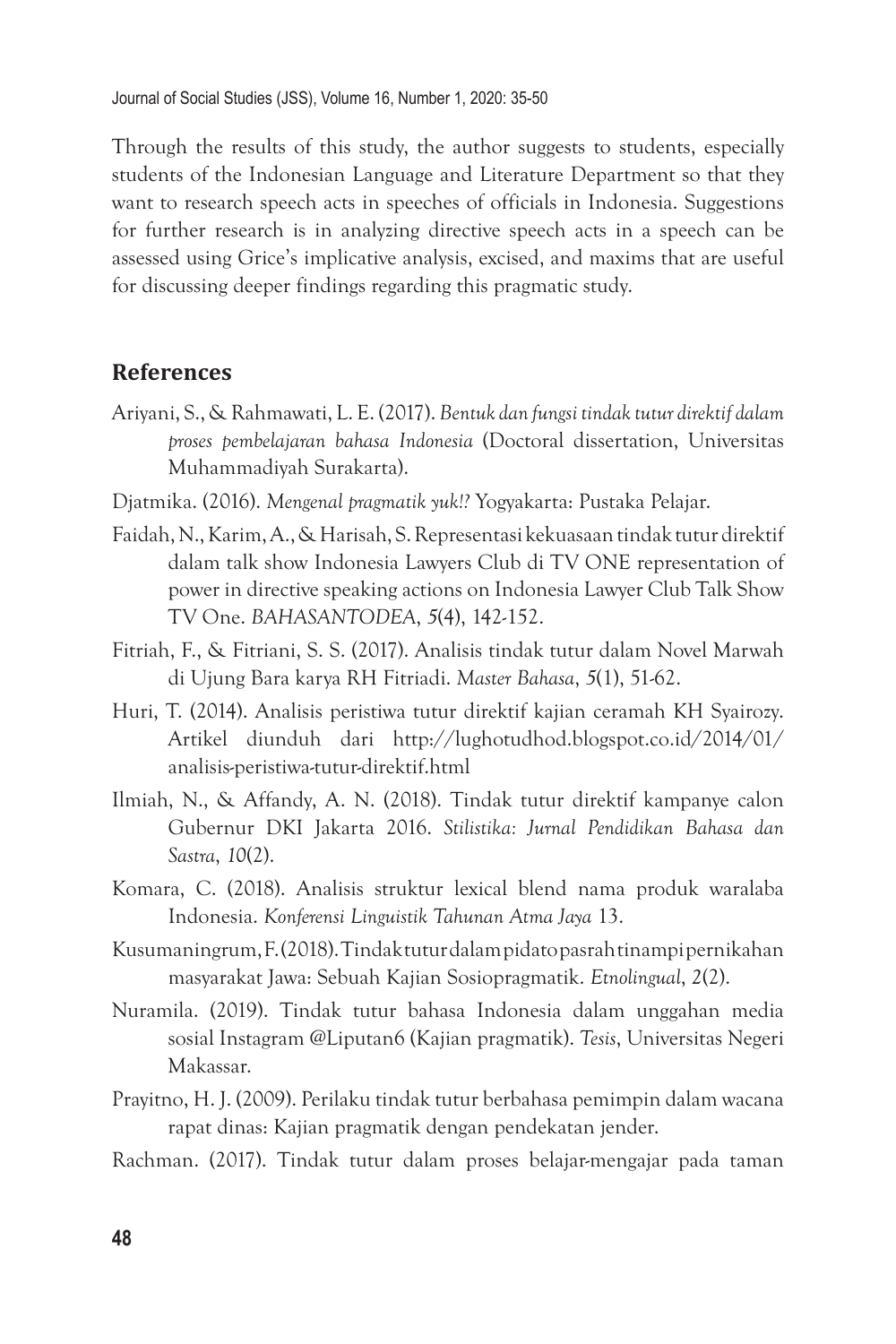Through the results of this study, the author suggests to students, especially students of the Indonesian Language and Literature Department so that they want to research speech acts in speeches of officials in Indonesia. Suggestions for further research is in analyzing directive speech acts in a speech can be assessed using Grice's implicative analysis, excised, and maxims that are useful for discussing deeper findings regarding this pragmatic study.

#### **References**

- Ariyani, S., & Rahmawati, L. E. (2017). *Bentuk dan fungsi tindak tutur direktif dalam proses pembelajaran bahasa Indonesia* (Doctoral dissertation, Universitas Muhammadiyah Surakarta).
- Djatmika. (2016). *Mengenal pragmatik yuk!?* Yogyakarta: Pustaka Pelajar.
- Faidah, N., Karim, A., & Harisah, S. Representasi kekuasaan tindak tutur direktif dalam talk show Indonesia Lawyers Club di TV ONE representation of power in directive speaking actions on Indonesia Lawyer Club Talk Show TV One. *BAHASANTODEA*, *5*(4), 142-152.
- Fitriah, F., & Fitriani, S. S. (2017). Analisis tindak tutur dalam Novel Marwah di Ujung Bara karya RH Fitriadi. *Master Bahasa*, *5*(1), 51-62.
- Huri, T. (2014). Analisis peristiwa tutur direktif kajian ceramah KH Syairozy. Artikel diunduh dari http://lughotudhod.blogspot.co.id/2014/01/ analisis-peristiwa-tutur-direktif.html
- Ilmiah, N., & Affandy, A. N. (2018). Tindak tutur direktif kampanye calon Gubernur DKI Jakarta 2016. *Stilistika: Jurnal Pendidikan Bahasa dan Sastra*, *10*(2).
- Komara, C. (2018). Analisis struktur lexical blend nama produk waralaba Indonesia. *Konferensi Linguistik Tahunan Atma Jaya* 13.
- Kusumaningrum, F. (2018). Tindak tutur dalam pidato pasrah tinampi pernikahan masyarakat Jawa: Sebuah Kajian Sosiopragmatik. *Etnolingual*, *2*(2).
- Nuramila. (2019). Tindak tutur bahasa Indonesia dalam unggahan media sosial Instagram @Liputan6 (Kajian pragmatik). *Tesis*, Universitas Negeri Makassar.
- Prayitno, H. J. (2009). Perilaku tindak tutur berbahasa pemimpin dalam wacana rapat dinas: Kajian pragmatik dengan pendekatan jender.
- Rachman. (2017). Tindak tutur dalam proses belajar-mengajar pada taman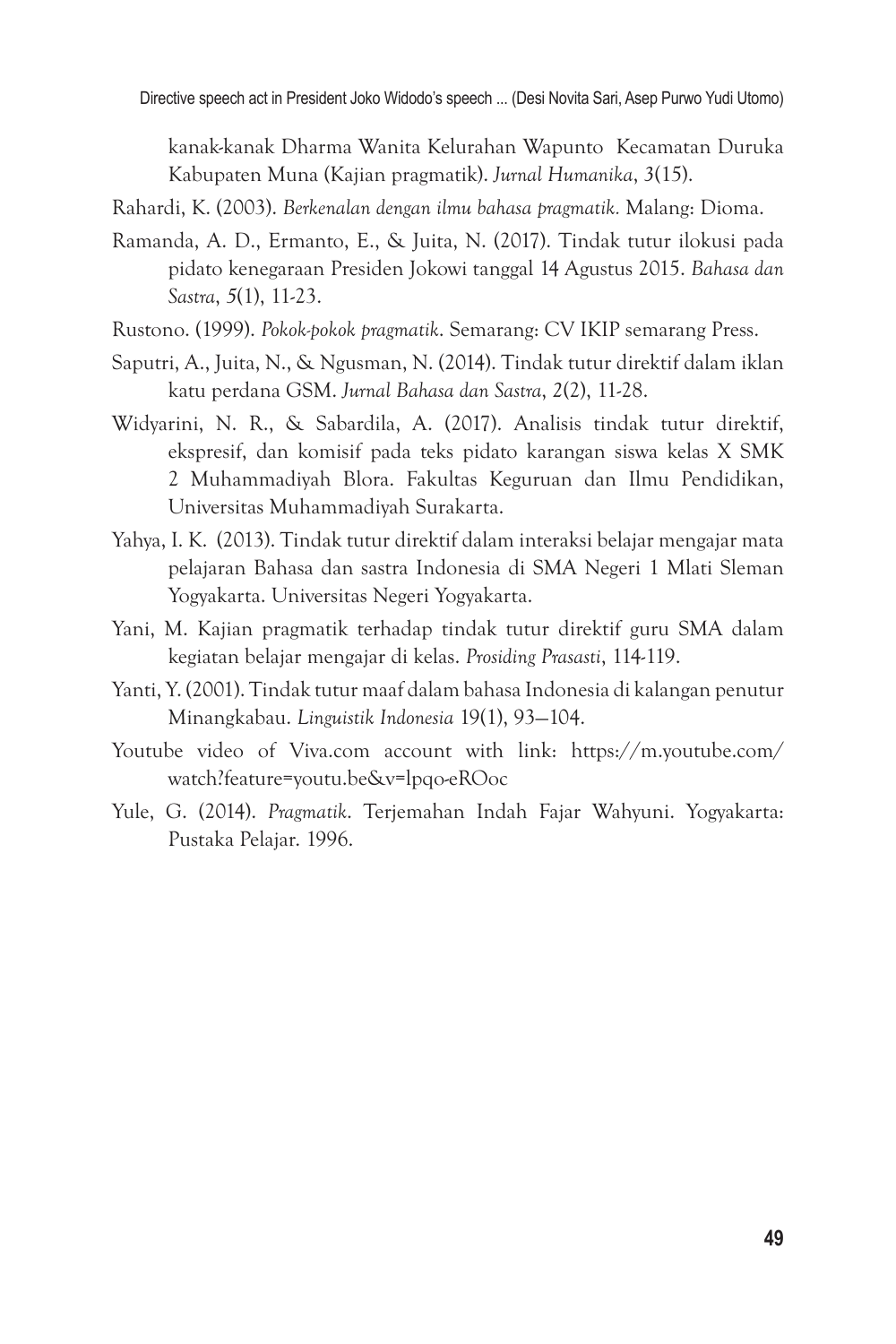Directive speech act in President Joko Widodo's speech ... (Desi Novita Sari, Asep Purwo Yudi Utomo)

kanak-kanak Dharma Wanita Kelurahan Wapunto Kecamatan Duruka Kabupaten Muna (Kajian pragmatik). *Jurnal Humanika*, *3*(15).

Rahardi, K. (2003). *Berkenalan dengan ilmu bahasa pragmatik.* Malang: Dioma.

- Ramanda, A. D., Ermanto, E., & Juita, N. (2017). Tindak tutur ilokusi pada pidato kenegaraan Presiden Jokowi tanggal 14 Agustus 2015. *Bahasa dan Sastra*, *5*(1), 11-23.
- Rustono. (1999). *Pokok-pokok pragmatik*. Semarang: CV IKIP semarang Press.
- Saputri, A., Juita, N., & Ngusman, N. (2014). Tindak tutur direktif dalam iklan katu perdana GSM. *Jurnal Bahasa dan Sastra*, *2*(2), 11-28.
- Widyarini, N. R., & Sabardila, A. (2017). Analisis tindak tutur direktif, ekspresif, dan komisif pada teks pidato karangan siswa kelas X SMK 2 Muhammadiyah Blora. Fakultas Keguruan dan Ilmu Pendidikan, Universitas Muhammadiyah Surakarta.
- Yahya, I. K. (2013). Tindak tutur direktif dalam interaksi belajar mengajar mata pelajaran Bahasa dan sastra Indonesia di SMA Negeri 1 Mlati Sleman Yogyakarta. Universitas Negeri Yogyakarta.
- Yani, M. Kajian pragmatik terhadap tindak tutur direktif guru SMA dalam kegiatan belajar mengajar di kelas. *Prosiding Prasasti*, 114-119.
- Yanti, Y. (2001). Tindak tutur maaf dalam bahasa Indonesia di kalangan penutur Minangkabau. *Linguistik Indonesia* 19(1), 93—104.
- Youtube video of Viva.com account with link: https://m.youtube.com/ watch?feature=youtu.be&v=lpqo-eROoc
- Yule, G. (2014). *Pragmatik*. Terjemahan Indah Fajar Wahyuni. Yogyakarta: Pustaka Pelajar. 1996.